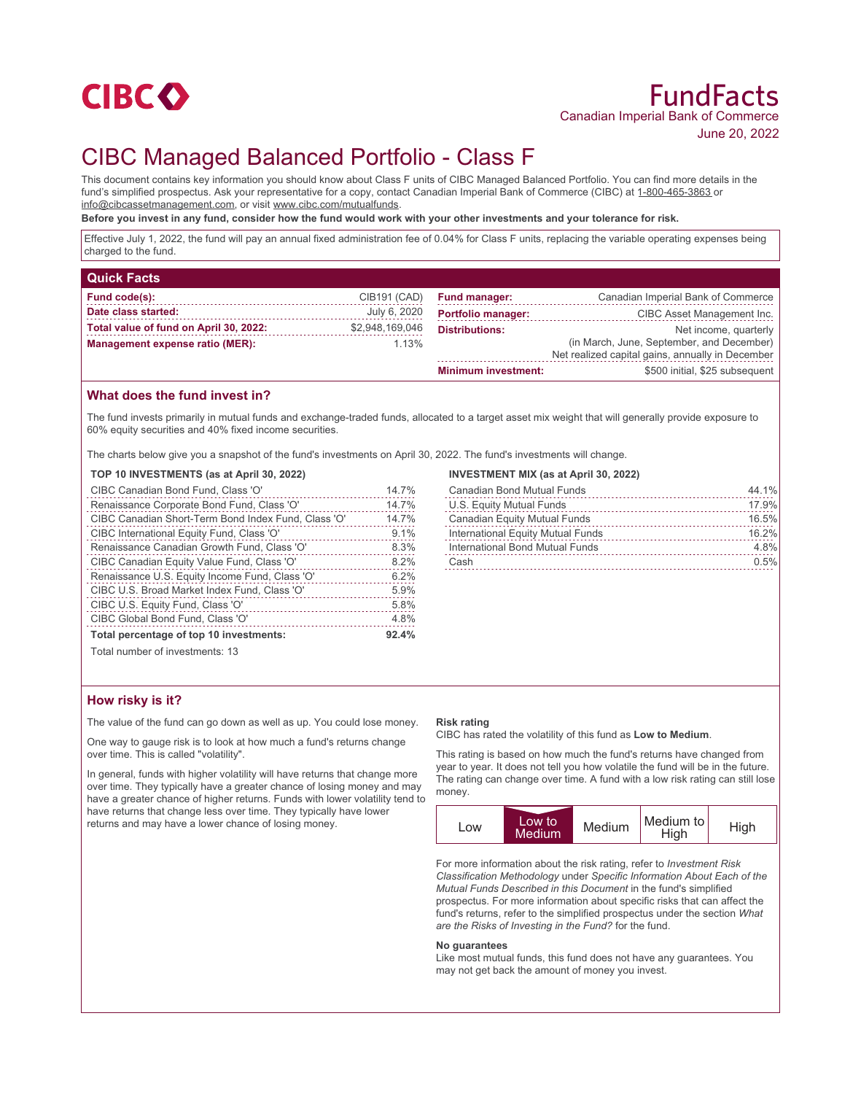

# CIBC Managed Balanced Portfolio - Class F

This document contains key information you should know about Class F units of CIBC Managed Balanced Portfolio. You can find more details in the fund's simplified prospectus. Ask your representative for a copy, contact Canadian Imperial Bank of Commerce (CIBC) at 1-800-465-3863 or info@cibcassetmanagement.com, or visit www.cibc.com/mutualfunds.

**Before you invest in any fund, consider how the fund would work with your other investments and your tolerance for risk.**

Effective July 1, 2022, the fund will pay an annual fixed administration fee of 0.04% for Class F units, replacing the variable operating expenses being charged to the fund.

| <b>Quick Facts</b>                     |                 |                            |                                                                                               |
|----------------------------------------|-----------------|----------------------------|-----------------------------------------------------------------------------------------------|
| Fund code(s):                          | CIB191 (CAD)    | <b>Fund manager:</b>       | Canadian Imperial Bank of Commerce                                                            |
| Date class started:                    | July 6, 2020    | <b>Portfolio manager:</b>  | CIBC Asset Management Inc.                                                                    |
| Total value of fund on April 30, 2022: | \$2,948,169,046 | <b>Distributions:</b>      | Net income, quarterly                                                                         |
| Management expense ratio (MER):        | 1.13%           |                            | (in March, June, September, and December)<br>Net realized capital gains, annually in December |
|                                        |                 | <b>Minimum investment:</b> | \$500 initial, \$25 subsequent                                                                |

### **What does the fund invest in?**

The fund invests primarily in mutual funds and exchange-traded funds, allocated to a target asset mix weight that will generally provide exposure to 60% equity securities and 40% fixed income securities.

The charts below give you a snapshot of the fund's investments on April 30, 2022. The fund's investments will change.

#### **TOP 10 INVESTMENTS (as at April 30, 2022)**

| CIBC Canadian Bond Fund, Class 'O'                  | 14.7% |
|-----------------------------------------------------|-------|
| Renaissance Corporate Bond Fund, Class 'O'          | 14.7% |
| CIBC Canadian Short-Term Bond Index Fund, Class 'O' | 14.7% |
| CIBC International Equity Fund, Class 'O'           | 9.1%  |
| Renaissance Canadian Growth Fund, Class 'O'         | 8.3%  |
| CIBC Canadian Equity Value Fund, Class 'O'          | 8.2%  |
| Renaissance U.S. Equity Income Fund, Class 'O'      | 6.2%  |
| CIBC U.S. Broad Market Index Fund, Class 'O'        | 5.9%  |
| CIBC U.S. Equity Fund, Class 'O'                    | 5.8%  |
| CIBC Global Bond Fund, Class 'O'                    | 4.8%  |
| Total percentage of top 10 investments:             | 92.4% |
| Total number of investments: 13                     |       |

#### **INVESTMENT MIX (as at April 30, 2022)**

| <b>Canadian Bond Mutual Funds</b> | 44.1% |
|-----------------------------------|-------|
| U.S. Equity Mutual Funds          | 17.9% |
| Canadian Equity Mutual Funds      | 16.5% |
| International Equity Mutual Funds | 16.2% |
| International Bond Mutual Funds   | 4.8%  |
| Cash                              | 0.5%  |
|                                   |       |

Total number of investments: 13

### **How risky is it?**

The value of the fund can go down as well as up. You could lose money.

One way to gauge risk is to look at how much a fund's returns change over time. This is called "volatility".

In general, funds with higher volatility will have returns that change more over time. They typically have a greater chance of losing money and may have a greater chance of higher returns. Funds with lower volatility tend to have returns that change less over time. They typically have lower returns and may have a lower chance of losing money.

#### **Risk rating**

CIBC has rated the volatility of this fund as **Low to Medium**.

This rating is based on how much the fund's returns have changed from year to year. It does not tell you how volatile the fund will be in the future. The rating can change over time. A fund with a low risk rating can still lose money.



For more information about the risk rating, refer to *Investment Risk Classification Methodology* under *Specific Information About Each of the Mutual Funds Described in this Document* in the fund's simplified prospectus. For more information about specific risks that can affect the fund's returns, refer to the simplified prospectus under the section *What are the Risks of Investing in the Fund?* for the fund.

#### **No guarantees**

Like most mutual funds, this fund does not have any guarantees. You may not get back the amount of money you invest.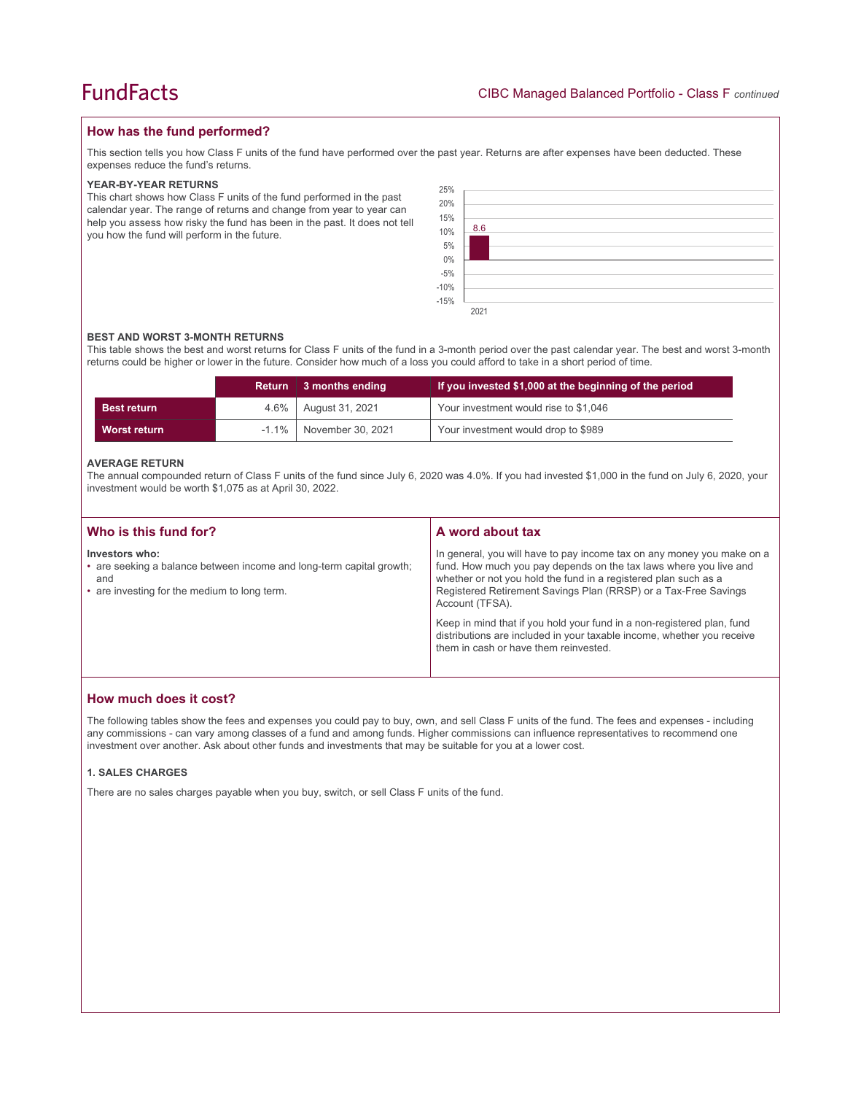## **How has the fund performed?**

This section tells you how Class F units of the fund have performed over the past year. Returns are after expenses have been deducted. These expenses reduce the fund's returns.

#### **YEAR-BY-YEAR RETURNS**

This chart shows how Class F units of the fund performed in the past calendar year. The range of returns and change from year to year can help you assess how risky the fund has been in the past. It does not tell you how the fund will perform in the future.

| 25%                          |      |
|------------------------------|------|
| 20%                          |      |
| 15%<br>10%                   |      |
|                              | 8.6  |
| 5%                           |      |
|                              |      |
| $0\%$<br>-5%<br>-10%<br>-15% |      |
|                              |      |
|                              |      |
|                              | 2021 |

#### **BEST AND WORST 3-MONTH RETURNS**

This table shows the best and worst returns for Class F units of the fund in a 3-month period over the past calendar year. The best and worst 3-month returns could be higher or lower in the future. Consider how much of a loss you could afford to take in a short period of time.

|                    | <b>Return</b> | 3 months ending   | If you invested \$1,000 at the beginning of the period |
|--------------------|---------------|-------------------|--------------------------------------------------------|
| <b>Best return</b> | $4.6\%$       | August 31, 2021   | Your investment would rise to \$1,046                  |
| Worst return       | $-1.1\%$      | November 30, 2021 | Your investment would drop to \$989                    |

#### **AVERAGE RETURN**

The annual compounded return of Class F units of the fund since July 6, 2020 was 4.0%. If you had invested \$1,000 in the fund on July 6, 2020, your investment would be worth \$1,075 as at April 30, 2022.

| Who is this fund for?                                                                                                                         | A word about tax                                                                                                                                                                                                                                                                                     |
|-----------------------------------------------------------------------------------------------------------------------------------------------|------------------------------------------------------------------------------------------------------------------------------------------------------------------------------------------------------------------------------------------------------------------------------------------------------|
| Investors who:<br>• are seeking a balance between income and long-term capital growth;<br>and<br>• are investing for the medium to long term. | In general, you will have to pay income tax on any money you make on a<br>fund. How much you pay depends on the tax laws where you live and<br>whether or not you hold the fund in a registered plan such as a<br>Registered Retirement Savings Plan (RRSP) or a Tax-Free Savings<br>Account (TFSA). |
|                                                                                                                                               | Keep in mind that if you hold your fund in a non-registered plan, fund<br>distributions are included in your taxable income, whether you receive<br>them in cash or have them reinvested.                                                                                                            |

## **How much does it cost?**

The following tables show the fees and expenses you could pay to buy, own, and sell Class F units of the fund. The fees and expenses - including any commissions - can vary among classes of a fund and among funds. Higher commissions can influence representatives to recommend one investment over another. Ask about other funds and investments that may be suitable for you at a lower cost.

#### **1. SALES CHARGES**

There are no sales charges payable when you buy, switch, or sell Class F units of the fund.